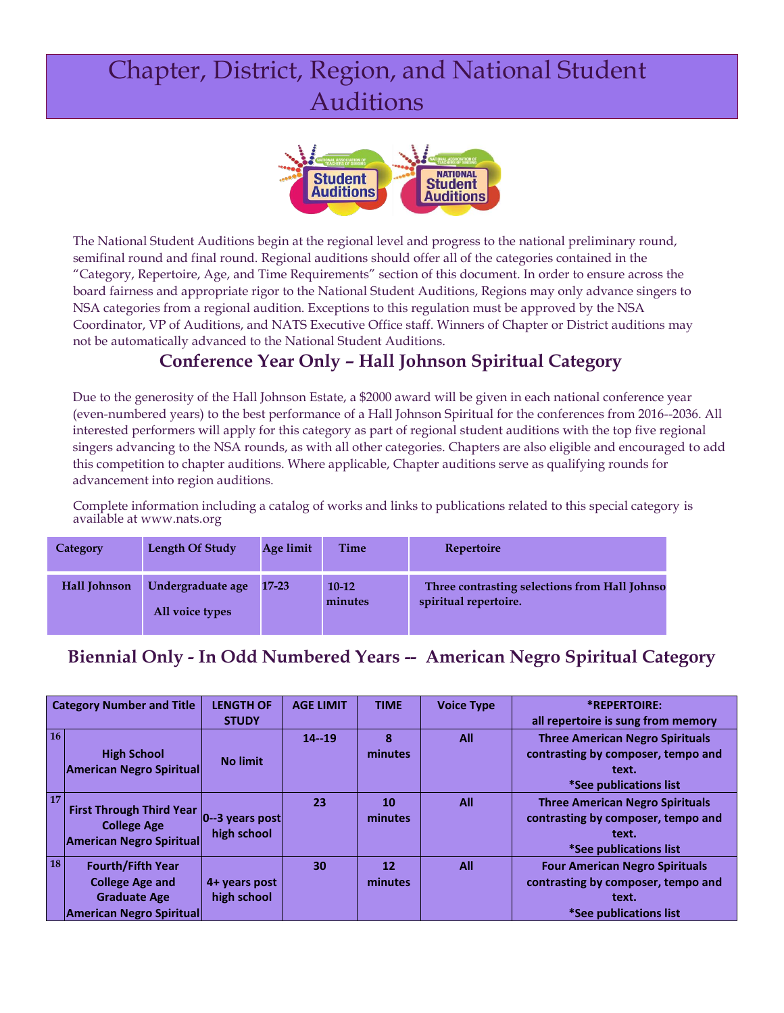# Chapter, District, Region, and National Student Auditions



The National Student Auditions begin at the regional level and progress to the national preliminary round, semifinal round and final round. Regional auditions should offer all of the categories contained in the "Category, Repertoire, Age, and Time Requirements" section of this document. In order to ensure across the board fairness and appropriate rigor to the National Student Auditions, Regions may only advance singers to NSA categories from a regional audition. Exceptions to this regulation must be approved by the NSA Coordinator, VP of Auditions, and NATS Executive Office staff. Winners of Chapter or District auditions may not be automatically advanced to the National Student Auditions.

### **Conference Year Only – Hall Johnson Spiritual Category**

Due to the generosity of the Hall Johnson Estate, a \$2000 award will be given in each national conference year (even-numbered years) to the best performance of a Hall Johnson Spiritual for the conferences from 2016--2036. All interested performers will apply for this category as part of regional student auditions with the top five regional singers advancing to the NSA rounds, as with all other categories. Chapters are also eligible and encouraged to add this competition to chapter auditions. Where applicable, Chapter auditions serve as qualifying rounds for advancement into region auditions.

Complete information including a catalog of works and links to publications related to this special category is available at [www.nats.org](http://www.nats.org/)

| <b>Category</b> | Length Of Study                      | Age limit | Time               | Repertoire                                                             |
|-----------------|--------------------------------------|-----------|--------------------|------------------------------------------------------------------------|
| Hall Johnson    | Undergraduate age<br>All voice types | $17 - 23$ | $10-12$<br>minutes | Three contrasting selections from Hall Johnso<br>spiritual repertoire. |

### **Biennial Only - In Odd Numbered Years -- American Negro Spiritual Category**

|           | <b>Category Number and Title</b>                                                                             | <b>LENGTH OF</b><br><b>STUDY</b> | <b>AGE LIMIT</b> | <b>TIME</b>   | <b>Voice Type</b> | *REPERTOIRE:<br>all repertoire is sung from memory                                                              |
|-----------|--------------------------------------------------------------------------------------------------------------|----------------------------------|------------------|---------------|-------------------|-----------------------------------------------------------------------------------------------------------------|
| 16        | <b>High School</b><br><b>American Negro Spiritual</b>                                                        | <b>No limit</b>                  | $14 - 19$        | 8<br>minutes  | All               | <b>Three American Negro Spirituals</b><br>contrasting by composer, tempo and<br>text.<br>*See publications list |
| <b>17</b> | <b>First Through Third Year</b><br><b>College Age</b><br><b>American Negro Spiritual</b>                     | $ 0-3$ years post<br>high school | 23               | 10<br>minutes | All               | <b>Three American Negro Spirituals</b><br>contrasting by composer, tempo and<br>text.<br>*See publications list |
| <b>18</b> | <b>Fourth/Fifth Year</b><br><b>College Age and</b><br><b>Graduate Age</b><br><b>American Negro Spiritual</b> | 4+ years post<br>high school     | 30               | 12<br>minutes | All               | <b>Four American Negro Spirituals</b><br>contrasting by composer, tempo and<br>text.<br>*See publications list  |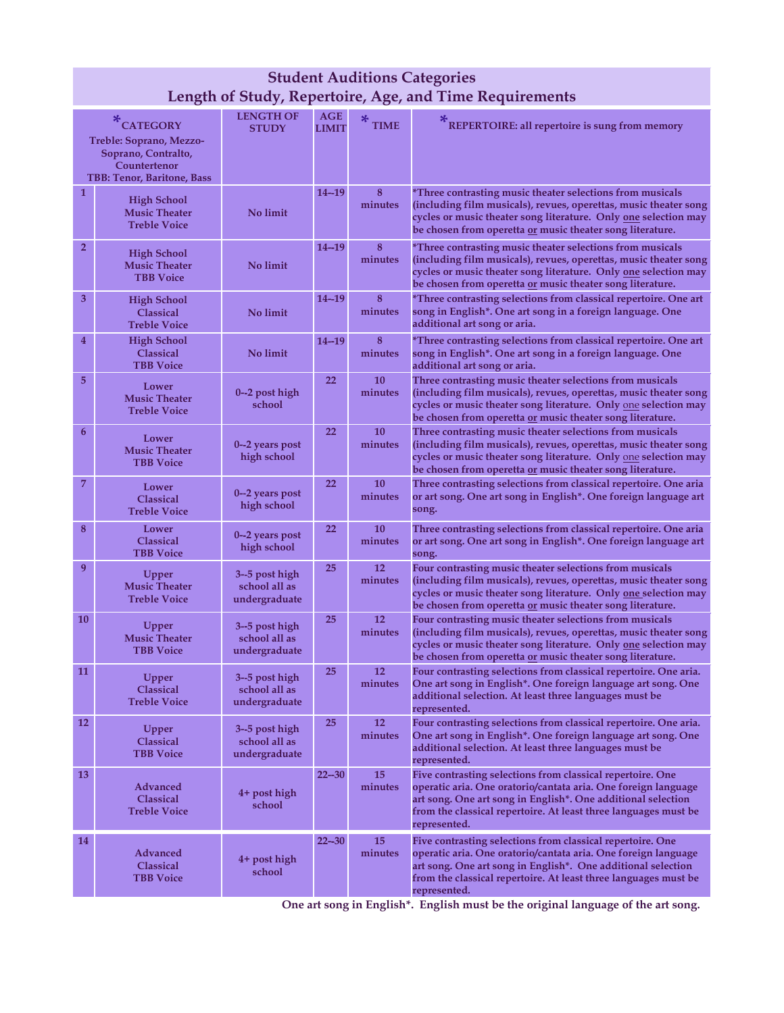|                  | <b>Student Auditions Categories</b><br>Length of Study, Repertoire, Age, and Time Requirements            |                                                   |                                |                      |                                                                                                                                                                                                                                                                                 |  |  |
|------------------|-----------------------------------------------------------------------------------------------------------|---------------------------------------------------|--------------------------------|----------------------|---------------------------------------------------------------------------------------------------------------------------------------------------------------------------------------------------------------------------------------------------------------------------------|--|--|
|                  | *CATEGORY<br>Treble: Soprano, Mezzo-<br>Soprano, Contralto,<br>Countertenor<br>TBB: Tenor, Baritone, Bass | <b>LENGTH OF</b><br><b>STUDY</b>                  | $\mathbf{AGE}$<br><b>LIMIT</b> | ∗<br><b>TIME</b>     | REPERTOIRE: all repertoire is sung from memory                                                                                                                                                                                                                                  |  |  |
| $\mathbf{1}$     | <b>High School</b><br><b>Music Theater</b><br><b>Treble Voice</b>                                         | No limit                                          | $14 - 19$                      | 8<br>minutes         | *Three contrasting music theater selections from musicals<br>(including film musicals), revues, operettas, music theater song<br>cycles or music theater song literature. Only one selection may<br>be chosen from operetta or music theater song literature.                   |  |  |
| $\overline{2}$   | <b>High School</b><br><b>Music Theater</b><br><b>TBB</b> Voice                                            | No limit                                          | $14 - 19$                      | 8<br>minutes         | *Three contrasting music theater selections from musicals<br>(including film musicals), revues, operettas, music theater song<br>cycles or music theater song literature. Only one selection may<br>be chosen from operetta or music theater song literature.                   |  |  |
| 3                | <b>High School</b><br><b>Classical</b><br><b>Treble Voice</b>                                             | No limit                                          | $14 - 19$                      | 8<br>minutes         | *Three contrasting selections from classical repertoire. One art<br>song in English*. One art song in a foreign language. One<br>additional art song or aria.                                                                                                                   |  |  |
| $\overline{4}$   | <b>High School</b><br><b>Classical</b><br><b>TBB Voice</b>                                                | No limit                                          | $14 - 19$                      | 8<br>minutes         | *Three contrasting selections from classical repertoire. One art<br>song in English*. One art song in a foreign language. One<br>additional art song or aria.                                                                                                                   |  |  |
| 5                | Lower<br><b>Music Theater</b><br><b>Treble Voice</b>                                                      | 0--2 post high<br>school                          | 22                             | 10<br>minutes        | Three contrasting music theater selections from musicals<br>(including film musicals), revues, operettas, music theater song<br>cycles or music theater song literature. Only one selection may<br>be chosen from operetta or music theater song literature.                    |  |  |
| $\boldsymbol{6}$ | Lower<br><b>Music Theater</b><br><b>TBB</b> Voice                                                         | 0--2 years post<br>high school                    | 22                             | 10<br>minutes        | Three contrasting music theater selections from musicals<br>(including film musicals), revues, operettas, music theater song<br>cycles or music theater song literature. Only one selection may<br>be chosen from operetta or music theater song literature.                    |  |  |
| $\overline{7}$   | Lower<br><b>Classical</b><br><b>Treble Voice</b>                                                          | 0-2 years post<br>high school                     | 22                             | 10<br>minutes        | Three contrasting selections from classical repertoire. One aria<br>or art song. One art song in English*. One foreign language art<br>song.                                                                                                                                    |  |  |
| 8                | Lower<br><b>Classical</b><br><b>TBB Voice</b>                                                             | 0-2 years post<br>high school                     | 22                             | <b>10</b><br>minutes | Three contrasting selections from classical repertoire. One aria<br>or art song. One art song in English*. One foreign language art<br>song.                                                                                                                                    |  |  |
| 9                | Upper<br><b>Music Theater</b><br><b>Treble Voice</b>                                                      | 3--5 post high<br>school all as<br>undergraduate  | 25                             | <b>12</b><br>minutes | Four contrasting music theater selections from musicals<br>(including film musicals), revues, operettas, music theater song<br>cycles or music theater song literature. Only one selection may<br>be chosen from operetta or music theater song literature.                     |  |  |
| 10               | Upper<br><b>Music Theater</b><br><b>TBB Voice</b>                                                         | 3--5 post high<br>school all as<br>undergraduate  | 25                             | <b>12</b><br>minutes | Four contrasting music theater selections from musicals<br>(including film musicals), revues, operettas, music theater song<br>cycles or music theater song literature. Only one selection may<br>be chosen from operetta <u>or</u> music theater song literature.              |  |  |
| 11               | Upper<br><b>Classical</b><br><b>Treble Voice</b>                                                          | $3-5$ post high<br>school all as<br>undergraduate | 25                             | 12<br>minutes        | Four contrasting selections from classical repertoire. One aria.<br>One art song in English*. One foreign language art song. One<br>additional selection. At least three languages must be<br>represented.                                                                      |  |  |
| <b>12</b>        | Upper<br>Classical<br><b>TBB Voice</b>                                                                    | $3-5$ post high<br>school all as<br>undergraduate | 25                             | 12<br>minutes        | Four contrasting selections from classical repertoire. One aria.<br>One art song in English*. One foreign language art song. One<br>additional selection. At least three languages must be<br>represented.                                                                      |  |  |
| 13               | Advanced<br><b>Classical</b><br><b>Treble Voice</b>                                                       | 4+ post high<br>school                            | $22 - 30$                      | 15<br>minutes        | Five contrasting selections from classical repertoire. One<br>operatic aria. One oratorio/cantata aria. One foreign language<br>art song. One art song in English*. One additional selection<br>from the classical repertoire. At least three languages must be<br>represented. |  |  |
| 14               | <b>Advanced</b><br><b>Classical</b><br><b>TBB Voice</b>                                                   | 4+ post high<br>school                            | $22 - 30$                      | 15<br>minutes        | Five contrasting selections from classical repertoire. One<br>operatic aria. One oratorio/cantata aria. One foreign language<br>art song. One art song in English*. One additional selection<br>from the classical repertoire. At least three languages must be<br>represented. |  |  |

**One art song in English\*. English must be the original language of the art song.**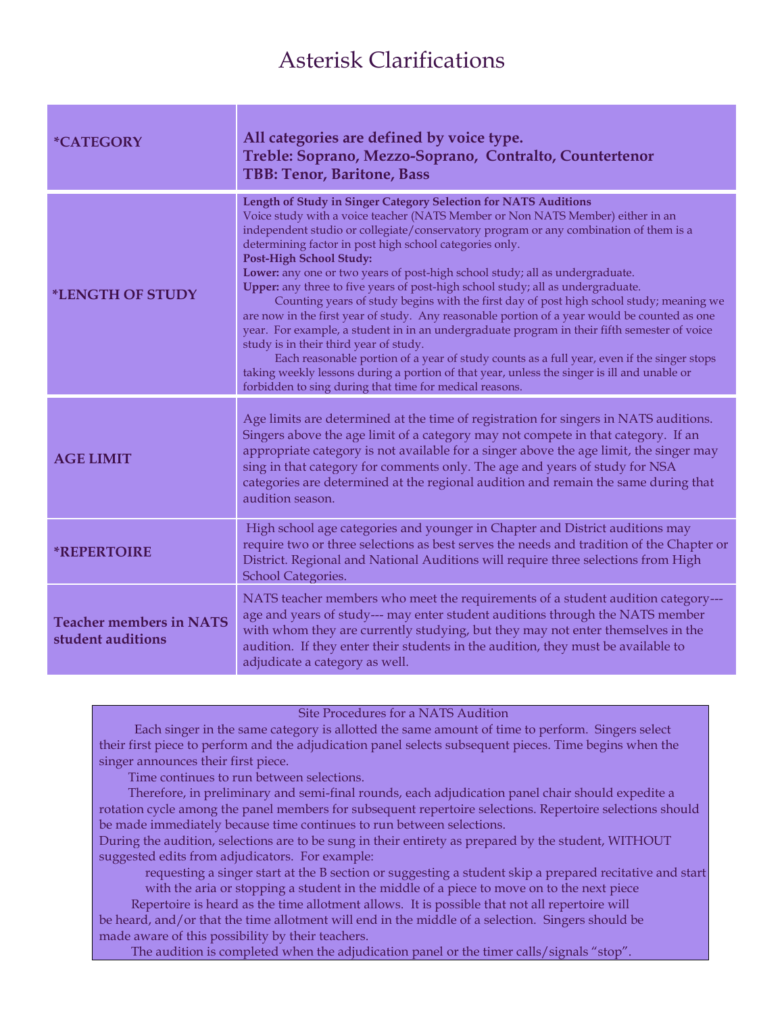## Asterisk Clarifications

| <i><b>*CATEGORY</b></i>                             | All categories are defined by voice type.<br>Treble: Soprano, Mezzo-Soprano, Contralto, Countertenor<br>TBB: Tenor, Baritone, Bass                                                                                                                                                                                                                                                                                                                                                                                                                                                                                                                                                                                                                                                                                                                                                                                                                                                                                                                                                                      |
|-----------------------------------------------------|---------------------------------------------------------------------------------------------------------------------------------------------------------------------------------------------------------------------------------------------------------------------------------------------------------------------------------------------------------------------------------------------------------------------------------------------------------------------------------------------------------------------------------------------------------------------------------------------------------------------------------------------------------------------------------------------------------------------------------------------------------------------------------------------------------------------------------------------------------------------------------------------------------------------------------------------------------------------------------------------------------------------------------------------------------------------------------------------------------|
| *LENGTH OF STUDY                                    | Length of Study in Singer Category Selection for NATS Auditions<br>Voice study with a voice teacher (NATS Member or Non NATS Member) either in an<br>independent studio or collegiate/conservatory program or any combination of them is a<br>determining factor in post high school categories only.<br><b>Post-High School Study:</b><br>Lower: any one or two years of post-high school study; all as undergraduate.<br>Upper: any three to five years of post-high school study; all as undergraduate.<br>Counting years of study begins with the first day of post high school study; meaning we<br>are now in the first year of study. Any reasonable portion of a year would be counted as one<br>year. For example, a student in in an undergraduate program in their fifth semester of voice<br>study is in their third year of study.<br>Each reasonable portion of a year of study counts as a full year, even if the singer stops<br>taking weekly lessons during a portion of that year, unless the singer is ill and unable or<br>forbidden to sing during that time for medical reasons. |
| <b>AGE LIMIT</b>                                    | Age limits are determined at the time of registration for singers in NATS auditions.<br>Singers above the age limit of a category may not compete in that category. If an<br>appropriate category is not available for a singer above the age limit, the singer may<br>sing in that category for comments only. The age and years of study for NSA<br>categories are determined at the regional audition and remain the same during that<br>audition season.                                                                                                                                                                                                                                                                                                                                                                                                                                                                                                                                                                                                                                            |
| <b>*REPERTOIRE</b>                                  | High school age categories and younger in Chapter and District auditions may<br>require two or three selections as best serves the needs and tradition of the Chapter or<br>District. Regional and National Auditions will require three selections from High<br>School Categories.                                                                                                                                                                                                                                                                                                                                                                                                                                                                                                                                                                                                                                                                                                                                                                                                                     |
| <b>Teacher members in NATS</b><br>student auditions | NATS teacher members who meet the requirements of a student audition category---<br>age and years of study--- may enter student auditions through the NATS member<br>with whom they are currently studying, but they may not enter themselves in the<br>audition. If they enter their students in the audition, they must be available to<br>adjudicate a category as well.                                                                                                                                                                                                                                                                                                                                                                                                                                                                                                                                                                                                                                                                                                                             |

#### Site Procedures for a NATS Audition

 Each singer in the same category is allotted the same amount of time to perform. Singers select their first piece to perform and the adjudication panel selects subsequent pieces. Time begins when the singer announces their first piece.

Time continues to run between selections.

 Therefore, in preliminary and semi-final rounds, each adjudication panel chair should expedite a rotation cycle among the panel members for subsequent repertoire selections. Repertoire selections should be made immediately because time continues to run between selections.

During the audition, selections are to be sung in their entirety as prepared by the student, WITHOUT suggested edits from adjudicators. For example:

requesting a singer start at the B section or suggesting a student skip a prepared recitative and start with the aria or stopping a student in the middle of a piece to move on to the next piece

 Repertoire is heard as the time allotment allows. It is possible that not all repertoire will be heard, and/or that the time allotment will end in the middle of a selection. Singers should be made aware of this possibility by their teachers.

The audition is completed when the adjudication panel or the timer calls/signals "stop".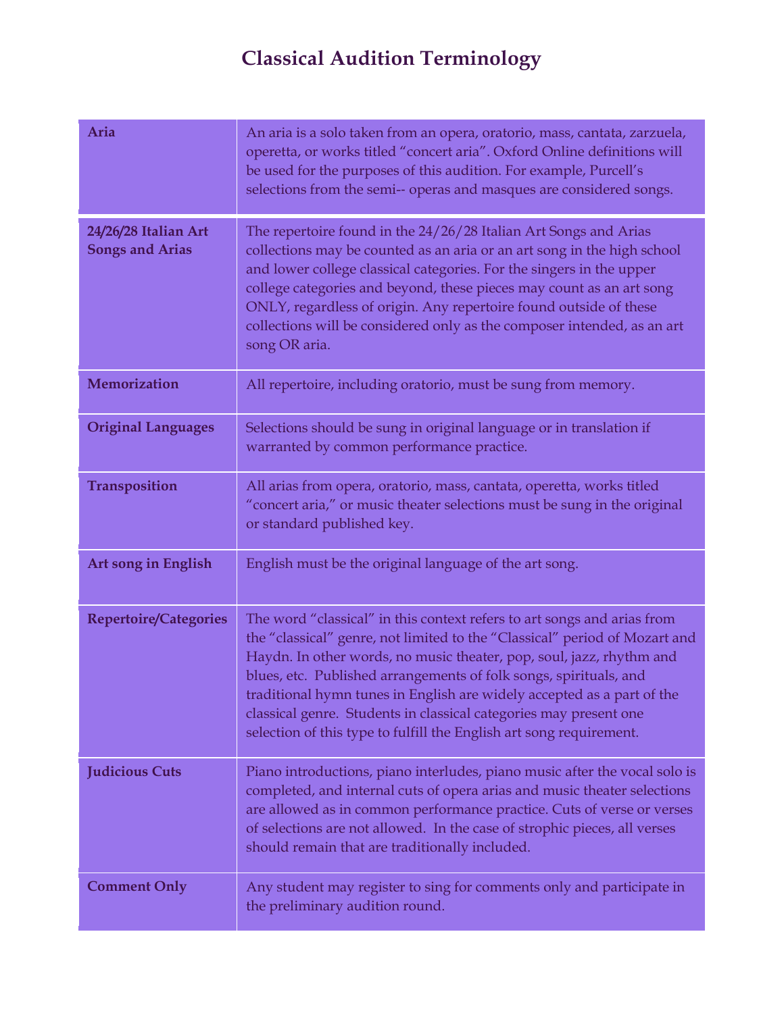# **Classical Audition Terminology**

| Aria                                           | An aria is a solo taken from an opera, oratorio, mass, cantata, zarzuela,<br>operetta, or works titled "concert aria". Oxford Online definitions will<br>be used for the purposes of this audition. For example, Purcell's<br>selections from the semi-- operas and masques are considered songs.                                                                                                                                                                                                                        |
|------------------------------------------------|--------------------------------------------------------------------------------------------------------------------------------------------------------------------------------------------------------------------------------------------------------------------------------------------------------------------------------------------------------------------------------------------------------------------------------------------------------------------------------------------------------------------------|
| 24/26/28 Italian Art<br><b>Songs and Arias</b> | The repertoire found in the 24/26/28 Italian Art Songs and Arias<br>collections may be counted as an aria or an art song in the high school<br>and lower college classical categories. For the singers in the upper<br>college categories and beyond, these pieces may count as an art song<br>ONLY, regardless of origin. Any repertoire found outside of these<br>collections will be considered only as the composer intended, as an art<br>song OR aria.                                                             |
| Memorization                                   | All repertoire, including oratorio, must be sung from memory.                                                                                                                                                                                                                                                                                                                                                                                                                                                            |
| <b>Original Languages</b>                      | Selections should be sung in original language or in translation if<br>warranted by common performance practice.                                                                                                                                                                                                                                                                                                                                                                                                         |
| <b>Transposition</b>                           | All arias from opera, oratorio, mass, cantata, operetta, works titled<br>"concert aria," or music theater selections must be sung in the original<br>or standard published key.                                                                                                                                                                                                                                                                                                                                          |
| Art song in English                            | English must be the original language of the art song.                                                                                                                                                                                                                                                                                                                                                                                                                                                                   |
| <b>Repertoire/Categories</b>                   | The word "classical" in this context refers to art songs and arias from<br>the "classical" genre, not limited to the "Classical" period of Mozart and<br>Haydn. In other words, no music theater, pop, soul, jazz, rhythm and<br>blues, etc. Published arrangements of folk songs, spirituals, and<br>traditional hymn tunes in English are widely accepted as a part of the<br>classical genre. Students in classical categories may present one<br>selection of this type to fulfill the English art song requirement. |
| <b>Judicious Cuts</b>                          | Piano introductions, piano interludes, piano music after the vocal solo is<br>completed, and internal cuts of opera arias and music theater selections<br>are allowed as in common performance practice. Cuts of verse or verses<br>of selections are not allowed. In the case of strophic pieces, all verses<br>should remain that are traditionally included.                                                                                                                                                          |
| <b>Comment Only</b>                            | Any student may register to sing for comments only and participate in<br>the preliminary audition round.                                                                                                                                                                                                                                                                                                                                                                                                                 |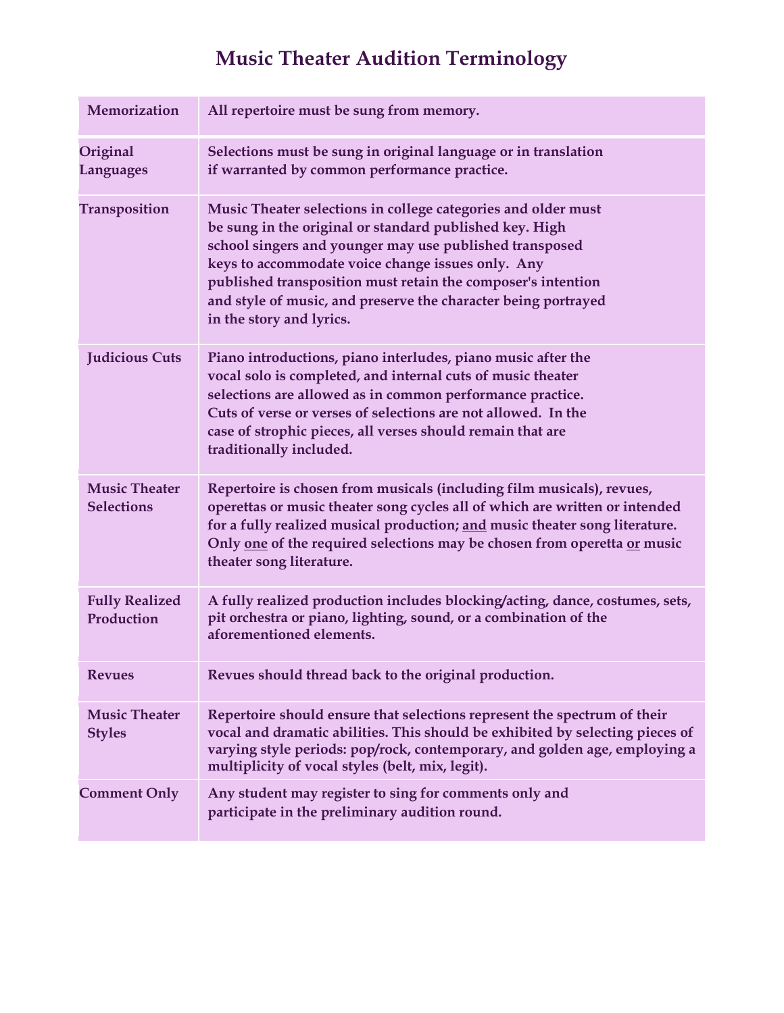# **Music Theater Audition Terminology**

| Memorization                              | All repertoire must be sung from memory.                                                                                                                                                                                                                                                                                                                                                               |
|-------------------------------------------|--------------------------------------------------------------------------------------------------------------------------------------------------------------------------------------------------------------------------------------------------------------------------------------------------------------------------------------------------------------------------------------------------------|
| Original<br><b>Languages</b>              | Selections must be sung in original language or in translation<br>if warranted by common performance practice.                                                                                                                                                                                                                                                                                         |
| <b>Transposition</b>                      | Music Theater selections in college categories and older must<br>be sung in the original or standard published key. High<br>school singers and younger may use published transposed<br>keys to accommodate voice change issues only. Any<br>published transposition must retain the composer's intention<br>and style of music, and preserve the character being portrayed<br>in the story and lyrics. |
| <b>Judicious Cuts</b>                     | Piano introductions, piano interludes, piano music after the<br>vocal solo is completed, and internal cuts of music theater<br>selections are allowed as in common performance practice.<br>Cuts of verse or verses of selections are not allowed. In the<br>case of strophic pieces, all verses should remain that are<br>traditionally included.                                                     |
| <b>Music Theater</b><br><b>Selections</b> | Repertoire is chosen from musicals (including film musicals), revues,<br>operettas or music theater song cycles all of which are written or intended<br>for a fully realized musical production; and music theater song literature.<br>Only one of the required selections may be chosen from operetta or music<br>theater song literature.                                                            |
| <b>Fully Realized</b><br>Production       | A fully realized production includes blocking/acting, dance, costumes, sets,<br>pit orchestra or piano, lighting, sound, or a combination of the<br>aforementioned elements.                                                                                                                                                                                                                           |
| <b>Revues</b>                             | Revues should thread back to the original production.                                                                                                                                                                                                                                                                                                                                                  |
| <b>Music Theater</b><br><b>Styles</b>     | Repertoire should ensure that selections represent the spectrum of their<br>vocal and dramatic abilities. This should be exhibited by selecting pieces of<br>varying style periods: pop/rock, contemporary, and golden age, employing a<br>multiplicity of vocal styles (belt, mix, legit).                                                                                                            |
| <b>Comment Only</b>                       | Any student may register to sing for comments only and<br>participate in the preliminary audition round.                                                                                                                                                                                                                                                                                               |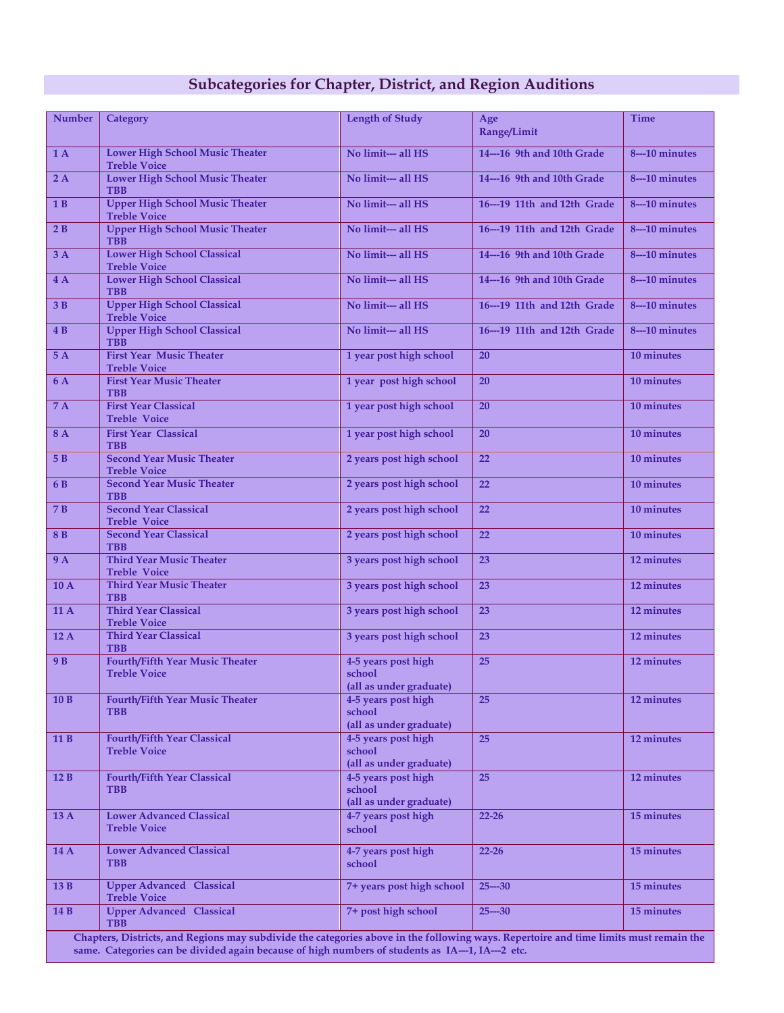### **Subcategories for Chapter, District, and Region Auditions**

| <b>Number</b>  | <b>Category</b>                                                                                                                                                                                                                           | <b>Length of Study</b>                                   | Age<br>Range/Limit          | <b>Time</b>      |
|----------------|-------------------------------------------------------------------------------------------------------------------------------------------------------------------------------------------------------------------------------------------|----------------------------------------------------------|-----------------------------|------------------|
| 1A             | <b>Lower High School Music Theater</b><br><b>Treble Voice</b>                                                                                                                                                                             | No limit--- all HS                                       | 14---16 9th and 10th Grade  | 8---10 minutes   |
| 2A             | <b>Lower High School Music Theater</b><br><b>TBB</b>                                                                                                                                                                                      | No limit--- all HS                                       | 14---16 9th and 10th Grade  | 8---10 minutes   |
| 1B             | <b>Upper High School Music Theater</b><br><b>Treble Voice</b>                                                                                                                                                                             | No limit--- all HS                                       | 16---19 11th and 12th Grade | 8---10 minutes   |
| 2B             | <b>Upper High School Music Theater</b><br><b>TBB</b>                                                                                                                                                                                      | No limit--- all HS                                       | 16---19 11th and 12th Grade | 8---10 minutes   |
| 3A             | <b>Lower High School Classical</b><br><b>Treble Voice</b>                                                                                                                                                                                 | No limit--- all HS                                       | 14---16 9th and 10th Grade  | 8---10 minutes   |
| 4A             | <b>Lower High School Classical</b><br><b>TBB</b>                                                                                                                                                                                          | No limit--- all HS                                       | 14---16 9th and 10th Grade  | 8---10 minutes   |
| 3B             | <b>Upper High School Classical</b><br><b>Treble Voice</b>                                                                                                                                                                                 | No limit--- all HS                                       | 16---19 11th and 12th Grade | $8 - 10$ minutes |
| 4B             | <b>Upper High School Classical</b><br><b>TBB</b>                                                                                                                                                                                          | No limit--- all HS                                       | 16---19 11th and 12th Grade | 8---10 minutes   |
| 5A             | <b>First Year Music Theater</b><br><b>Treble Voice</b>                                                                                                                                                                                    | 1 year post high school                                  | 20                          | 10 minutes       |
| 6 A            | <b>First Year Music Theater</b><br><b>TBB</b>                                                                                                                                                                                             | 1 year post high school                                  | 20                          | 10 minutes       |
| 7 A            | <b>First Year Classical</b><br><b>Treble Voice</b>                                                                                                                                                                                        | 1 year post high school                                  | 20                          | 10 minutes       |
| 8A             | <b>First Year Classical</b><br><b>TBB</b>                                                                                                                                                                                                 | 1 year post high school                                  | 20                          | 10 minutes       |
| 5 B            | <b>Second Year Music Theater</b><br><b>Treble Voice</b>                                                                                                                                                                                   | 2 years post high school                                 | 22                          | 10 minutes       |
| 6 B            | <b>Second Year Music Theater</b><br><b>TBB</b>                                                                                                                                                                                            | 2 years post high school                                 | 22                          | 10 minutes       |
| 7 B            | <b>Second Year Classical</b><br><b>Treble Voice</b>                                                                                                                                                                                       | 2 years post high school                                 | 22                          | 10 minutes       |
| 8B             | <b>Second Year Classical</b><br><b>TBB</b>                                                                                                                                                                                                | 2 years post high school                                 | 22                          | 10 minutes       |
| <b>9 A</b>     | <b>Third Year Music Theater</b><br><b>Treble Voice</b>                                                                                                                                                                                    | 3 years post high school                                 | 23                          | 12 minutes       |
| 10A            | <b>Third Year Music Theater</b><br><b>TBB</b>                                                                                                                                                                                             | 3 years post high school                                 | 23                          | 12 minutes       |
| 11A            | <b>Third Year Classical</b><br><b>Treble Voice</b>                                                                                                                                                                                        | 3 years post high school                                 | 23                          | 12 minutes       |
| 12A            | <b>Third Year Classical</b><br><b>TBB</b>                                                                                                                                                                                                 | 3 years post high school                                 | 23                          | 12 minutes       |
| 9 <sub>B</sub> | <b>Fourth/Fifth Year Music Theater</b><br><b>Treble Voice</b>                                                                                                                                                                             | 4-5 years post high<br>school                            | 25                          | 12 minutes       |
| 10B            | Fourth/Fifth Year Music Theater                                                                                                                                                                                                           | (all as under graduate)<br>4-5 years post high           | 25                          | 12 minutes       |
|                | <b>TBB</b>                                                                                                                                                                                                                                | school<br>(all as under graduate)                        |                             |                  |
| 11B            | <b>Fourth/Fifth Year Classical</b><br><b>Treble Voice</b>                                                                                                                                                                                 | 4-5 years post high<br>school                            | 25                          | 12 minutes       |
|                |                                                                                                                                                                                                                                           | (all as under graduate)                                  |                             |                  |
| 12B            | Fourth/Fifth Year Classical<br><b>TBB</b>                                                                                                                                                                                                 | 4-5 years post high<br>school<br>(all as under graduate) | 25                          | 12 minutes       |
| 13A            | <b>Lower Advanced Classical</b><br><b>Treble Voice</b>                                                                                                                                                                                    | 4-7 years post high<br>school                            | $22 - 26$                   | 15 minutes       |
|                |                                                                                                                                                                                                                                           |                                                          |                             |                  |
| 14 A           | <b>Lower Advanced Classical</b><br><b>TBB</b>                                                                                                                                                                                             | 4-7 years post high<br>school                            | $22 - 26$                   | 15 minutes       |
| 13B            | <b>Upper Advanced Classical</b><br><b>Treble Voice</b>                                                                                                                                                                                    | 7+ years post high school                                | $25 - 30$                   | 15 minutes       |
| 14 B           | <b>Upper Advanced Classical</b><br><b>TBB</b>                                                                                                                                                                                             | 7+ post high school                                      | $25 - 30$                   | 15 minutes       |
|                | Chapters, Districts, and Regions may subdivide the categories above in the following ways. Repertoire and time limits must remain the<br>same. Categories can be divided again because of high numbers of students as IA---1, IA---2 etc. |                                                          |                             |                  |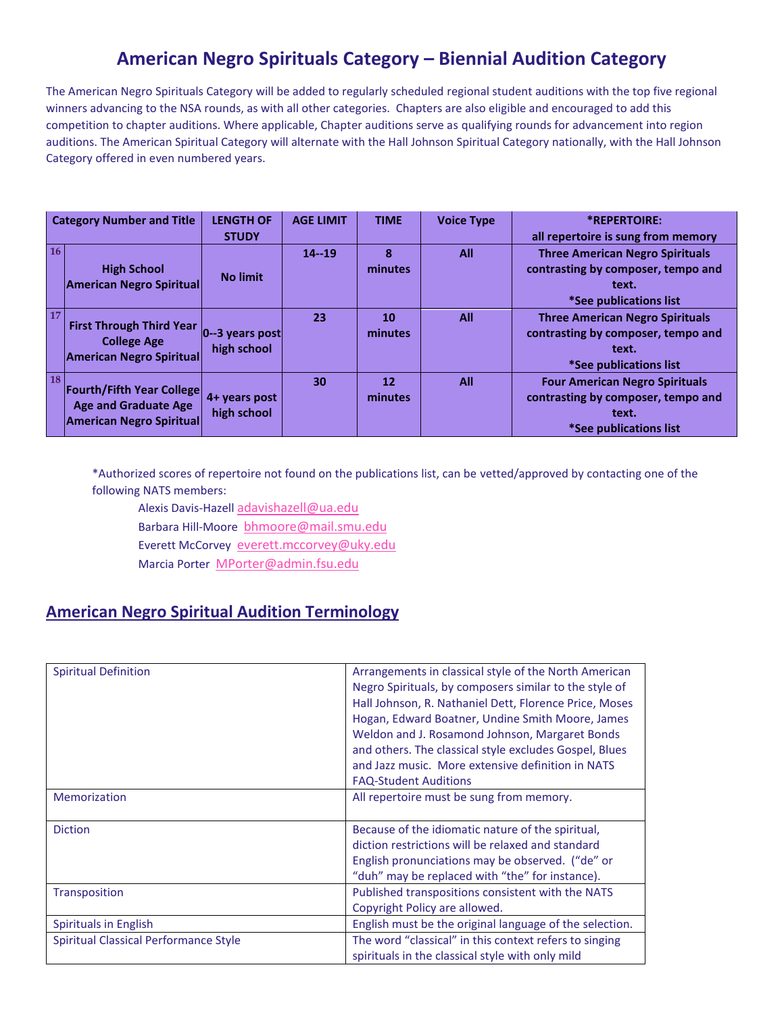### **American Negro Spirituals Category – Biennial Audition Category**

The American Negro Spirituals Category will be added to regularly scheduled regional student auditions with the top five regional winners advancing to the NSA rounds, as with all other categories. Chapters are also eligible and encouraged to add this competition to chapter auditions. Where applicable, Chapter auditions serve as qualifying rounds for advancement into region auditions. The American Spiritual Category will alternate with the Hall Johnson Spiritual Category nationally, with the Hall Johnson Category offered in even numbered years.

| <b>Category Number and Title</b> |                                                                                                                              | <b>LENGTH OF</b><br><b>STUDY</b> | <b>AGE LIMIT</b> | <b>TIME</b>   | <b>Voice Type</b> | *REPERTOIRE:<br>all repertoire is sung from memory                                                              |
|----------------------------------|------------------------------------------------------------------------------------------------------------------------------|----------------------------------|------------------|---------------|-------------------|-----------------------------------------------------------------------------------------------------------------|
| <b>16</b>                        | <b>High School</b><br><b>American Negro Spiritual</b>                                                                        | <b>No limit</b>                  | $14 - 19$        | 8<br>minutes  | <b>All</b>        | <b>Three American Negro Spirituals</b><br>contrasting by composer, tempo and<br>text.<br>*See publications list |
| <b>17</b>                        | <b>First Through Third Year <math>\vert_{0-3}</math> years post</b><br><b>College Age</b><br><b>American Negro Spiritual</b> | high school                      | 23               | 10<br>minutes | <b>All</b>        | <b>Three American Negro Spirituals</b><br>contrasting by composer, tempo and<br>text.<br>*See publications list |
| <b>18</b>                        | <b>Fourth/Fifth Year College</b><br><b>Age and Graduate Age</b><br><b>American Negro Spiritual</b>                           | 4+ years post<br>high school     | 30               | 12<br>minutes | <b>All</b>        | <b>Four American Negro Spirituals</b><br>contrasting by composer, tempo and<br>text.<br>*See publications list  |

\*Authorized scores of repertoire not found on the publications list, can be vetted/approved by contacting one of the following NATS members:

Alexis Davis-Hazell [adavishazell@ua.edu](mailto:adavishazell@ua.edu)

Barbara Hill-Moore [bhmoore@mail.smu.edu](mailto:bhmoore@mail.smu.edu)

Everett McCorvey [everett.mccorvey@uky.edu](mailto:everett.mccorvey@uky.edu)

Marcia Porter [MPorter@admin.fsu.edu](mailto:MPorter@admin.fsu.edu)

#### **American Negro Spiritual Audition Terminology**

| <b>Spiritual Definition</b>                  | Arrangements in classical style of the North American<br>Negro Spirituals, by composers similar to the style of<br>Hall Johnson, R. Nathaniel Dett, Florence Price, Moses<br>Hogan, Edward Boatner, Undine Smith Moore, James<br>Weldon and J. Rosamond Johnson, Margaret Bonds<br>and others. The classical style excludes Gospel, Blues<br>and Jazz music. More extensive definition in NATS |
|----------------------------------------------|------------------------------------------------------------------------------------------------------------------------------------------------------------------------------------------------------------------------------------------------------------------------------------------------------------------------------------------------------------------------------------------------|
|                                              | <b>FAQ-Student Auditions</b>                                                                                                                                                                                                                                                                                                                                                                   |
| Memorization                                 | All repertoire must be sung from memory.                                                                                                                                                                                                                                                                                                                                                       |
| <b>Diction</b>                               | Because of the idiomatic nature of the spiritual,<br>diction restrictions will be relaxed and standard<br>English pronunciations may be observed. ("de" or<br>"duh" may be replaced with "the" for instance).                                                                                                                                                                                  |
| Transposition                                | Published transpositions consistent with the NATS<br>Copyright Policy are allowed.                                                                                                                                                                                                                                                                                                             |
| Spirituals in English                        | English must be the original language of the selection.                                                                                                                                                                                                                                                                                                                                        |
| <b>Spiritual Classical Performance Style</b> | The word "classical" in this context refers to singing<br>spirituals in the classical style with only mild                                                                                                                                                                                                                                                                                     |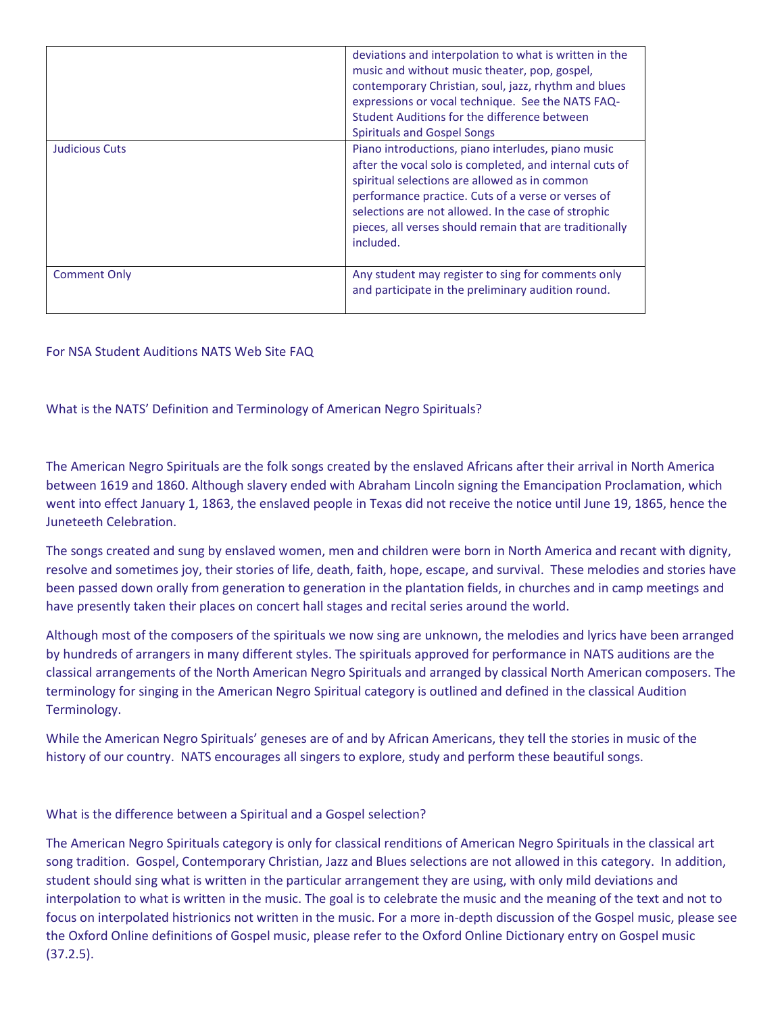|                       | deviations and interpolation to what is written in the<br>music and without music theater, pop, gospel,<br>contemporary Christian, soul, jazz, rhythm and blues<br>expressions or vocal technique. See the NATS FAQ-<br>Student Auditions for the difference between<br>Spirituals and Gospel Songs                                                 |
|-----------------------|-----------------------------------------------------------------------------------------------------------------------------------------------------------------------------------------------------------------------------------------------------------------------------------------------------------------------------------------------------|
| <b>Judicious Cuts</b> | Piano introductions, piano interludes, piano music<br>after the vocal solo is completed, and internal cuts of<br>spiritual selections are allowed as in common<br>performance practice. Cuts of a verse or verses of<br>selections are not allowed. In the case of strophic<br>pieces, all verses should remain that are traditionally<br>included. |
| <b>Comment Only</b>   | Any student may register to sing for comments only<br>and participate in the preliminary audition round.                                                                                                                                                                                                                                            |

#### For NSA Student Auditions NATS Web Site FAQ

#### What is the NATS' Definition and Terminology of American Negro Spirituals?

The American Negro Spirituals are the folk songs created by the enslaved Africans after their arrival in North America between 1619 and 1860. Although slavery ended with Abraham Lincoln signing the Emancipation Proclamation, which went into effect January 1, 1863, the enslaved people in Texas did not receive the notice until June 19, 1865, hence the Juneteeth Celebration.

The songs created and sung by enslaved women, men and children were born in North America and recant with dignity, resolve and sometimes joy, their stories of life, death, faith, hope, escape, and survival. These melodies and stories have been passed down orally from generation to generation in the plantation fields, in churches and in camp meetings and have presently taken their places on concert hall stages and recital series around the world.

Although most of the composers of the spirituals we now sing are unknown, the melodies and lyrics have been arranged by hundreds of arrangers in many different styles. The spirituals approved for performance in NATS auditions are the classical arrangements of the North American Negro Spirituals and arranged by classical North American composers. The terminology for singing in the American Negro Spiritual category is outlined and defined in the classical Audition Terminology.

While the American Negro Spirituals' geneses are of and by African Americans, they tell the stories in music of the history of our country. NATS encourages all singers to explore, study and perform these beautiful songs.

#### What is the difference between a Spiritual and a Gospel selection?

The American Negro Spirituals category is only for classical renditions of American Negro Spirituals in the classical art song tradition. Gospel, Contemporary Christian, Jazz and Blues selections are not allowed in this category. In addition, student should sing what is written in the particular arrangement they are using, with only mild deviations and interpolation to what is written in the music. The goal is to celebrate the music and the meaning of the text and not to focus on interpolated histrionics not written in the music. For a more in-depth discussion of the Gospel music, please see the Oxford Online definitions of Gospel music, please refer to the Oxford Online Dictionary entry on Gospel music (37.2.5).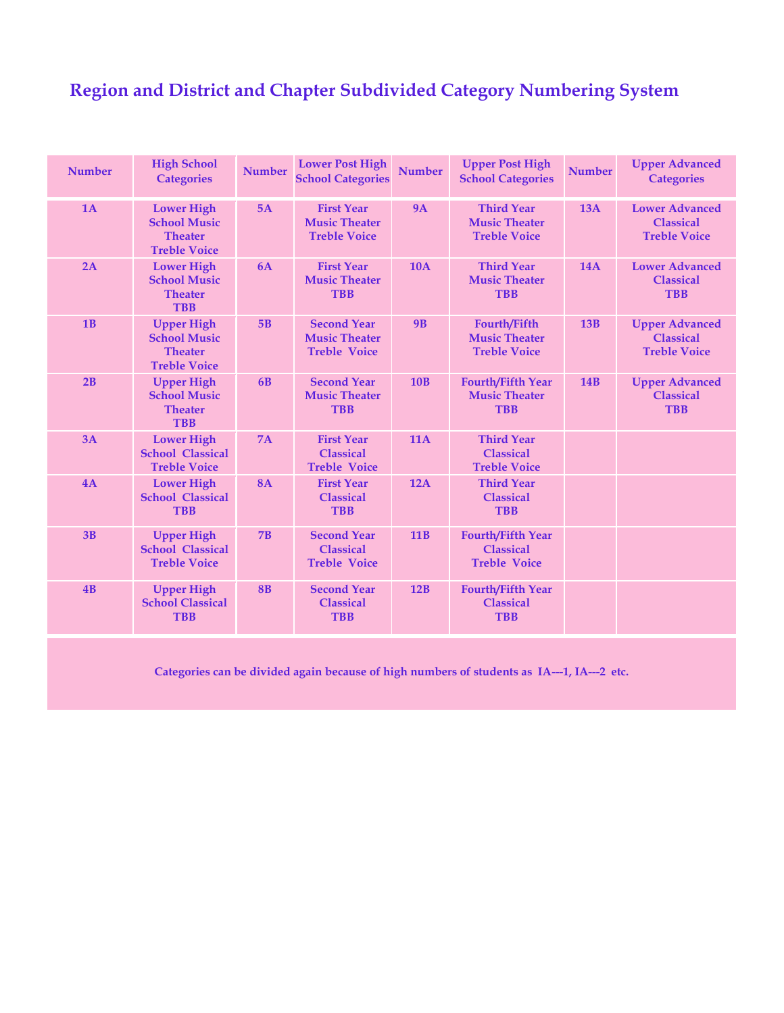## **Region and District and Chapter Subdivided Category Numbering System**

| <b>Number</b> | <b>High School</b><br><b>Categories</b>                                           | <b>Number</b> | <b>Lower Post High</b><br><b>School Categories</b>                | <b>Number</b> | <b>Upper Post High</b><br><b>School Categories</b>                  | <b>Number</b> | <b>Upper Advanced</b><br><b>Categories</b>                       |
|---------------|-----------------------------------------------------------------------------------|---------------|-------------------------------------------------------------------|---------------|---------------------------------------------------------------------|---------------|------------------------------------------------------------------|
| 1A            | <b>Lower High</b><br><b>School Music</b><br><b>Theater</b><br><b>Treble Voice</b> | 5A            | <b>First Year</b><br><b>Music Theater</b><br><b>Treble Voice</b>  | <b>9A</b>     | <b>Third Year</b><br><b>Music Theater</b><br><b>Treble Voice</b>    | 13A           | <b>Lower Advanced</b><br><b>Classical</b><br><b>Treble Voice</b> |
| 2A            | <b>Lower High</b><br><b>School Music</b><br><b>Theater</b><br><b>TBB</b>          | 6A            | <b>First Year</b><br><b>Music Theater</b><br><b>TBB</b>           | <b>10A</b>    | <b>Third Year</b><br><b>Music Theater</b><br><b>TBB</b>             | <b>14A</b>    | <b>Lower Advanced</b><br><b>Classical</b><br><b>TBB</b>          |
| 1B            | <b>Upper High</b><br><b>School Music</b><br><b>Theater</b><br><b>Treble Voice</b> | 5B            | <b>Second Year</b><br><b>Music Theater</b><br><b>Treble Voice</b> | <b>9B</b>     | <b>Fourth/Fifth</b><br><b>Music Theater</b><br><b>Treble Voice</b>  | 13B           | <b>Upper Advanced</b><br><b>Classical</b><br><b>Treble Voice</b> |
| 2B            | <b>Upper High</b><br><b>School Music</b><br><b>Theater</b><br><b>TBB</b>          | 6B            | <b>Second Year</b><br><b>Music Theater</b><br><b>TBB</b>          | 10B           | <b>Fourth/Fifth Year</b><br><b>Music Theater</b><br><b>TBB</b>      | <b>14B</b>    | <b>Upper Advanced</b><br><b>Classical</b><br><b>TBB</b>          |
| 3A            | <b>Lower High</b><br><b>School Classical</b><br><b>Treble Voice</b>               | 7A            | <b>First Year</b><br><b>Classical</b><br><b>Treble Voice</b>      | <b>11A</b>    | <b>Third Year</b><br><b>Classical</b><br><b>Treble Voice</b>        |               |                                                                  |
| 4A            | <b>Lower High</b><br><b>School Classical</b><br><b>TBB</b>                        | <b>8A</b>     | <b>First Year</b><br><b>Classical</b><br><b>TBB</b>               | 12A           | <b>Third Year</b><br><b>Classical</b><br><b>TBB</b>                 |               |                                                                  |
| 3B            | <b>Upper High</b><br><b>School Classical</b><br><b>Treble Voice</b>               | 7B            | <b>Second Year</b><br><b>Classical</b><br><b>Treble Voice</b>     | 11B           | <b>Fourth/Fifth Year</b><br><b>Classical</b><br><b>Treble Voice</b> |               |                                                                  |
| 4B            | <b>Upper High</b><br><b>School Classical</b><br><b>TBB</b>                        | <b>8B</b>     | <b>Second Year</b><br><b>Classical</b><br><b>TBB</b>              | 12B           | <b>Fourth/Fifth Year</b><br><b>Classical</b><br><b>TBB</b>          |               |                                                                  |

**Categories can be divided again because of high numbers of students as IA---1, IA---2 etc.**